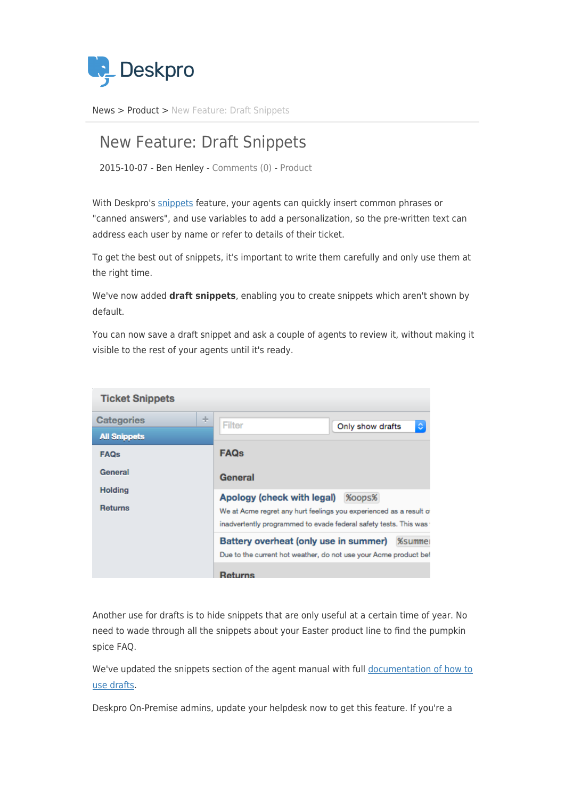

[News](https://support.deskpro.com/ro/news) > [Product](https://support.deskpro.com/ro/news/product) > [New Feature: Draft Snippets](https://support.deskpro.com/ro/news/posts/new-feature-draft-snippets)

## New Feature: Draft Snippets

2015-10-07 - Ben Henley - [Comments \(0\)](#page--1-0) - [Product](https://support.deskpro.com/ro/news/product)

With Deskpro's [snippets](https://support.deskpro.com/guides/topic/289) feature, your agents can quickly insert common phrases or "canned answers", and use variables to add a personalization, so the pre-written text can address each user by name or refer to details of their ticket.

To get the best out of snippets, it's important to write them carefully and only use them at the right time.

We've now added **draft snippets**, enabling you to create snippets which aren't shown by default.

You can now save a draft snippet and ask a couple of agents to review it, without making it visible to the rest of your agents until it's ready.

| <b>Ticket Snippets</b>           |                                                                                                                                                                                  |
|----------------------------------|----------------------------------------------------------------------------------------------------------------------------------------------------------------------------------|
| ÷<br><b>Categories</b>           | Filter<br>٥<br>Only show drafts                                                                                                                                                  |
| <b>All Snippets</b>              |                                                                                                                                                                                  |
| <b>FAQs</b>                      | <b>FAQs</b>                                                                                                                                                                      |
| General                          | General                                                                                                                                                                          |
| <b>Holding</b><br><b>Returns</b> | Apology (check with legal)<br>%oops%<br>We at Acme regret any hurt feelings you experienced as a result of<br>inadvertently programmed to evade federal safety tests. This was " |
|                                  | Battery overheat (only use in summer)<br><b>%summer</b><br>Due to the current hot weather, do not use your Acme product bef                                                      |
|                                  | <b>Returns</b>                                                                                                                                                                   |

Another use for drafts is to hide snippets that are only useful at a certain time of year. No need to wade through all the snippets about your Easter product line to find the pumpkin spice FAQ.

We've updated the snippets section of the agent manual with full [documentation of how to](https://support.deskpro.com/guides/topic/289) [use drafts](https://support.deskpro.com/guides/topic/289).

Deskpro On-Premise admins, update your helpdesk now to get this feature. If you're a